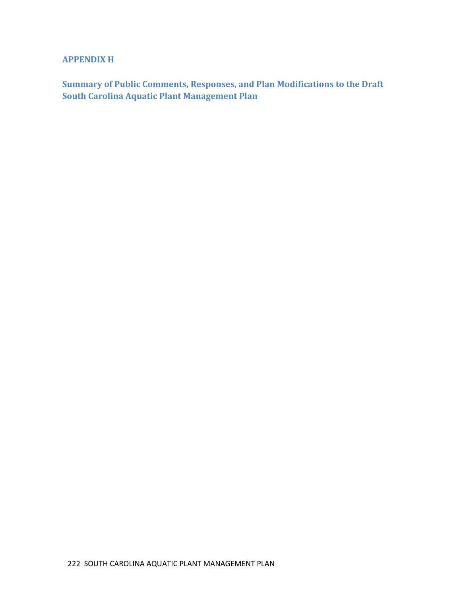# **APPENDIX H**

**Summary of Public Comments, Responses, and Plan Modifications to the Draft South Carolina Aquatic Plant Management Plan**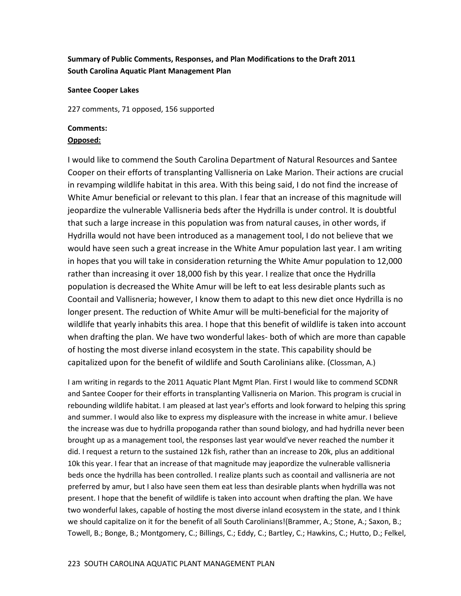## **Summary of Public Comments, Responses, and Plan Modifications to the Draft 2011 South Carolina Aquatic Plant Management Plan**

#### **Santee Cooper Lakes**

227 comments, 71 opposed, 156 supported

### **Comments:**

## **Opposed:**

I would like to commend the South Carolina Department of Natural Resources and Santee Cooper on their efforts of transplanting Vallisneria on Lake Marion. Their actions are crucial in revamping wildlife habitat in this area. With this being said, I do not find the increase of White Amur beneficial or relevant to this plan. I fear that an increase of this magnitude will jeopardize the vulnerable Vallisneria beds after the Hydrilla is under control. It is doubtful that such a large increase in this population was from natural causes, in other words, if Hydrilla would not have been introduced as a management tool, I do not believe that we would have seen such a great increase in the White Amur population last year. I am writing in hopes that you will take in consideration returning the White Amur population to 12,000 rather than increasing it over 18,000 fish by this year. I realize that once the Hydrilla population is decreased the White Amur will be left to eat less desirable plants such as Coontail and Vallisneria; however, I know them to adapt to this new diet once Hydrilla is no longer present. The reduction of White Amur will be multi-beneficial for the majority of wildlife that yearly inhabits this area. I hope that this benefit of wildlife is taken into account when drafting the plan. We have two wonderful lakes- both of which are more than capable of hosting the most diverse inland ecosystem in the state. This capability should be capitalized upon for the benefit of wildlife and South Carolinians alike. (Clossman, A.)

I am writing in regards to the 2011 Aquatic Plant Mgmt Plan. First I would like to commend SCDNR and Santee Cooper for their efforts in transplanting Vallisneria on Marion. This program is crucial in rebounding wildlife habitat. I am pleased at last year's efforts and look forward to helping this spring and summer. I would also like to express my displeasure with the increase in white amur. I believe the increase was due to hydrilla propoganda rather than sound biology, and had hydrilla never been brought up as a management tool, the responses last year would've never reached the number it did. I request a return to the sustained 12k fish, rather than an increase to 20k, plus an additional 10k this year. I fear that an increase of that magnitude may jeapordize the vulnerable vallisneria beds once the hydrilla has been controlled. I realize plants such as coontail and vallisneria are not preferred by amur, but I also have seen them eat less than desirable plants when hydrilla was not present. I hope that the benefit of wildlife is taken into account when drafting the plan. We have two wonderful lakes, capable of hosting the most diverse inland ecosystem in the state, and I think we should capitalize on it for the benefit of all South Carolinians!(Brammer, A.; Stone, A.; Saxon, B.; Towell, B.; Bonge, B.; Montgomery, C.; Billings, C.; Eddy, C.; Bartley, C.; Hawkins, C.; Hutto, D.; Felkel,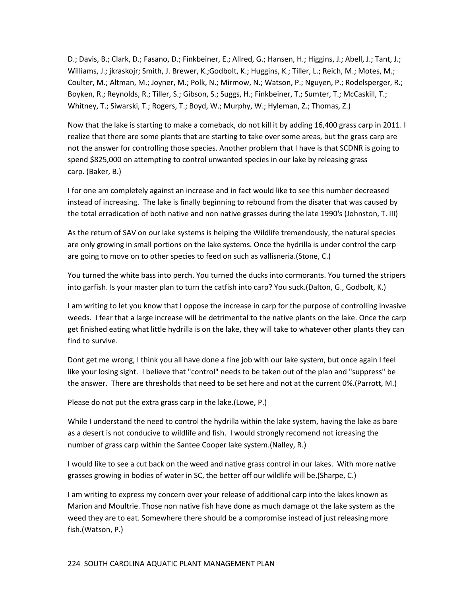D.; Davis, B.; Clark, D.; Fasano, D.; Finkbeiner, E.; Allred, G.; Hansen, H.; Higgins, J.; Abell, J.; Tant, J.; Williams, J.; jkraskojr; Smith, J. Brewer, K.;Godbolt, K.; Huggins, K.; Tiller, L.; Reich, M.; Motes, M.; Coulter, M.; Altman, M.; Joyner, M.; Polk, N.; Mirmow, N.; Watson, P.; Nguyen, P.; Rodelsperger, R.; Boyken, R.; Reynolds, R.; Tiller, S.; Gibson, S.; Suggs, H.; Finkbeiner, T.; Sumter, T.; McCaskill, T.; Whitney, T.; Siwarski, T.; Rogers, T.; Boyd, W.; Murphy, W.; Hyleman, Z.; Thomas, Z.)

Now that the lake is starting to make a comeback, do not kill it by adding 16,400 grass carp in 2011. I realize that there are some plants that are starting to take over some areas, but the grass carp are not the answer for controlling those species. Another problem that I have is that SCDNR is going to spend \$825,000 on attempting to control unwanted species in our lake by releasing grass carp. (Baker, B.)

I for one am completely against an increase and in fact would like to see this number decreased instead of increasing. The lake is finally beginning to rebound from the disater that was caused by the total erradication of both native and non native grasses during the late 1990's (Johnston, T. III)

As the return of SAV on our lake systems is helping the Wildlife tremendously, the natural species are only growing in small portions on the lake systems. Once the hydrilla is under control the carp are going to move on to other species to feed on such as vallisneria.(Stone, C.)

You turned the white bass into perch. You turned the ducks into cormorants. You turned the stripers into garfish. Is your master plan to turn the catfish into carp? You suck.(Dalton, G., Godbolt, K.)

I am writing to let you know that I oppose the increase in carp for the purpose of controlling invasive weeds. I fear that a large increase will be detrimental to the native plants on the lake. Once the carp get finished eating what little hydrilla is on the lake, they will take to whatever other plants they can find to survive.

Dont get me wrong, I think you all have done a fine job with our lake system, but once again I feel like your losing sight. I believe that "control" needs to be taken out of the plan and "suppress" be the answer. There are thresholds that need to be set here and not at the current 0%.(Parrott, M.)

Please do not put the extra grass carp in the lake.(Lowe, P.)

While I understand the need to control the hydrilla within the lake system, having the lake as bare as a desert is not conducive to wildlife and fish. I would strongly recomend not icreasing the number of grass carp within the Santee Cooper lake system.(Nalley, R.)

I would like to see a cut back on the weed and native grass control in our lakes. With more native grasses growing in bodies of water in SC, the better off our wildlife will be.(Sharpe, C.)

I am writing to express my concern over your release of additional carp into the lakes known as Marion and Moultrie. Those non native fish have done as much damage ot the lake system as the weed they are to eat. Somewhere there should be a compromise instead of just releasing more fish.(Watson, P.)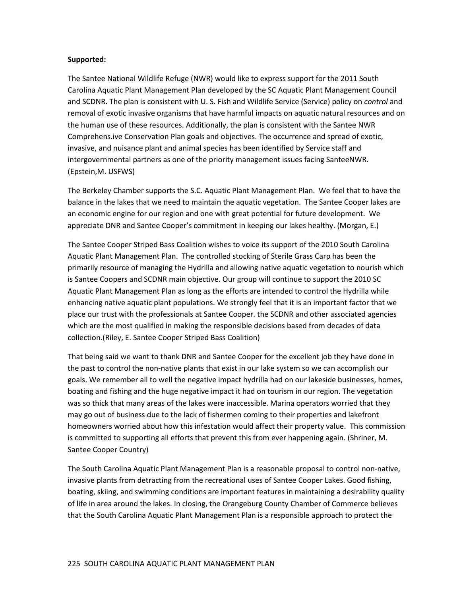#### **Supported:**

The Santee National Wildlife Refuge (NWR) would like to express support for the 2011 South Carolina Aquatic Plant Management Plan developed by the SC Aquatic Plant Management Council and SCDNR. The plan is consistent with U. S. Fish and Wildlife Service (Service) policy on *control* and removal of exotic invasive organisms that have harmful impacts on aquatic natural resources and on the human use of these resources. Additionally, the plan is consistent with the Santee NWR Comprehens.ive Conservation Plan goals and objectives. The occurrence and spread of exotic, invasive, and nuisance plant and animal species has been identified by Service staff and intergovernmental partners as one of the priority management issues facing SanteeNWR. (Epstein,M. USFWS)

The Berkeley Chamber supports the S.C. Aquatic Plant Management Plan. We feel that to have the balance in the lakes that we need to maintain the aquatic vegetation. The Santee Cooper lakes are an economic engine for our region and one with great potential for future development. We appreciate DNR and Santee Cooper's commitment in keeping our lakes healthy. (Morgan, E.)

The Santee Cooper Striped Bass Coalition wishes to voice its support of the 2010 South Carolina Aquatic Plant Management Plan. The controlled stocking of Sterile Grass Carp has been the primarily resource of managing the Hydrilla and allowing native aquatic vegetation to nourish which is Santee Coopers and SCDNR main objective. Our group will continue to support the 2010 SC Aquatic Plant Management Plan as long as the efforts are intended to control the Hydrilla while enhancing native aquatic plant populations. We strongly feel that it is an important factor that we place our trust with the professionals at Santee Cooper. the SCDNR and other associated agencies which are the most qualified in making the responsible decisions based from decades of data collection.(Riley, E. Santee Cooper Striped Bass Coalition)

That being said we want to thank DNR and Santee Cooper for the excellent job they have done in the past to control the non-native plants that exist in our lake system so we can accomplish our goals. We remember all to well the negative impact hydrilla had on our lakeside businesses, homes, boating and fishing and the huge negative impact it had on tourism in our region. The vegetation was so thick that many areas of the lakes were inaccessible. Marina operators worried that they may go out of business due to the lack of fishermen coming to their properties and lakefront homeowners worried about how this infestation would affect their property value. This commission is committed to supporting all efforts that prevent this from ever happening again. (Shriner, M. Santee Cooper Country)

The South Carolina Aquatic Plant Management Plan is a reasonable proposal to control non-native, invasive plants from detracting from the recreational uses of Santee Cooper Lakes. Good fishing, boating, skiing, and swimming conditions are important features in maintaining a desirability quality of life in area around the lakes. In closing, the Orangeburg County Chamber of Commerce believes that the South Carolina Aquatic Plant Management Plan is a responsible approach to protect the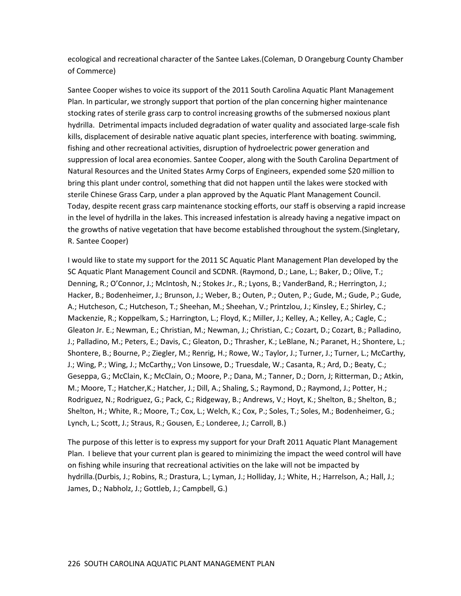ecological and recreational character of the Santee Lakes.(Coleman, D Orangeburg County Chamber of Commerce)

Santee Cooper wishes to voice its support of the 2011 South Carolina Aquatic Plant Management Plan. In particular, we strongly support that portion of the plan concerning higher maintenance stocking rates of sterile grass carp to control increasing growths of the submersed noxious plant hydrilla. Detrimental impacts included degradation of water quality and associated large-scale fish kills, displacement of desirable native aquatic plant species, interference with boating. swimming, fishing and other recreational activities, disruption of hydroelectric power generation and suppression of local area economies. Santee Cooper, along with the South Carolina Department of Natural Resources and the United States Army Corps of Engineers, expended some \$20 million to bring this plant under control, something that did not happen until the lakes were stocked with sterile Chinese Grass Carp, under a plan approved by the Aquatic Plant Management Council. Today, despite recent grass carp maintenance stocking efforts, our staff is observing a rapid increase in the level of hydrilla in the lakes. This increased infestation is already having a negative impact on the growths of native vegetation that have become established throughout the system.(Singletary, R. Santee Cooper)

I would like to state my support for the 2011 SC Aquatic Plant Management Plan developed by the SC Aquatic Plant Management Council and SCDNR. (Raymond, D.; Lane, L.; Baker, D.; Olive, T.; Denning, R.; O'Connor, J.; McIntosh, N.; Stokes Jr., R.; Lyons, B.; VanderBand, R.; Herrington, J.; Hacker, B.; Bodenheimer, J.; Brunson, J.; Weber, B.; Outen, P.; Outen, P.; Gude, M.; Gude, P.; Gude, A.; Hutcheson, C.; Hutcheson, T.; Sheehan, M.; Sheehan, V.; Printzlou, J.; Kinsley, E.; Shirley, C.; Mackenzie, R.; Koppelkam, S.; Harrington, L.; Floyd, K.; Miller, J.; Kelley, A.; Kelley, A.; Cagle, C.; Gleaton Jr. E.; Newman, E.; Christian, M.; Newman, J.; Christian, C.; Cozart, D.; Cozart, B.; Palladino, J.; Palladino, M.; Peters, E.; Davis, C.; Gleaton, D.; Thrasher, K.; LeBlane, N.; Paranet, H.; Shontere, L.; Shontere, B.; Bourne, P.; Ziegler, M.; Renrig, H.; Rowe, W.; Taylor, J.; Turner, J.; Turner, L.; McCarthy, J.; Wing, P.; Wing, J.; McCarthy,; Von Linsowe, D.; Truesdale, W.; Casanta, R.; Ard, D.; Beaty, C.; Geseppa, G.; McClain, K.; McClain, O.; Moore, P.; Dana, M.; Tanner, D.; Dorn, J; Ritterman, D.; Atkin, M.; Moore, T.; Hatcher,K.; Hatcher, J.; Dill, A.; Shaling, S.; Raymond, D.; Raymond, J.; Potter, H.; Rodriguez, N.; Rodriguez, G.; Pack, C.; Ridgeway, B.; Andrews, V.; Hoyt, K.; Shelton, B.; Shelton, B.; Shelton, H.; White, R.; Moore, T.; Cox, L.; Welch, K.; Cox, P.; Soles, T.; Soles, M.; Bodenheimer, G.; Lynch, L.; Scott, J.; Straus, R.; Gousen, E.; Londeree, J.; Carroll, B.)

The purpose of this letter is to express my support for your Draft 2011 Aquatic Plant Management Plan. I believe that your current plan is geared to minimizing the impact the weed control will have on fishing while insuring that recreational activities on the lake will not be impacted by hydrilla.(Durbis, J.; Robins, R.; Drastura, L.; Lyman, J.; Holliday, J.; White, H.; Harrelson, A.; Hall, J.; James, D.; Nabholz, J.; Gottleb, J.; Campbell, G.)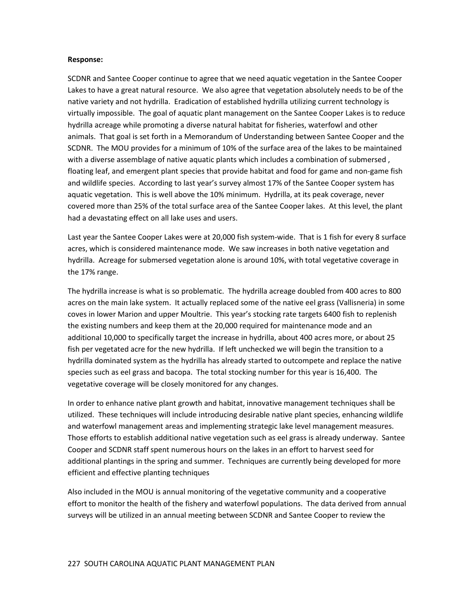#### **Response:**

SCDNR and Santee Cooper continue to agree that we need aquatic vegetation in the Santee Cooper Lakes to have a great natural resource. We also agree that vegetation absolutely needs to be of the native variety and not hydrilla. Eradication of established hydrilla utilizing current technology is virtually impossible. The goal of aquatic plant management on the Santee Cooper Lakes is to reduce hydrilla acreage while promoting a diverse natural habitat for fisheries, waterfowl and other animals. That goal is set forth in a Memorandum of Understanding between Santee Cooper and the SCDNR. The MOU provides for a minimum of 10% of the surface area of the lakes to be maintained with a diverse assemblage of native aquatic plants which includes a combination of submersed , floating leaf, and emergent plant species that provide habitat and food for game and non-game fish and wildlife species. According to last year's survey almost 17% of the Santee Cooper system has aquatic vegetation. This is well above the 10% minimum. Hydrilla, at its peak coverage, never covered more than 25% of the total surface area of the Santee Cooper lakes. At this level, the plant had a devastating effect on all lake uses and users.

Last year the Santee Cooper Lakes were at 20,000 fish system-wide. That is 1 fish for every 8 surface acres, which is considered maintenance mode. We saw increases in both native vegetation and hydrilla. Acreage for submersed vegetation alone is around 10%, with total vegetative coverage in the 17% range.

The hydrilla increase is what is so problematic. The hydrilla acreage doubled from 400 acres to 800 acres on the main lake system. It actually replaced some of the native eel grass (Vallisneria) in some coves in lower Marion and upper Moultrie. This year's stocking rate targets 6400 fish to replenish the existing numbers and keep them at the 20,000 required for maintenance mode and an additional 10,000 to specifically target the increase in hydrilla, about 400 acres more, or about 25 fish per vegetated acre for the new hydrilla. If left unchecked we will begin the transition to a hydrilla dominated system as the hydrilla has already started to outcompete and replace the native species such as eel grass and bacopa. The total stocking number for this year is 16,400. The vegetative coverage will be closely monitored for any changes.

In order to enhance native plant growth and habitat, innovative management techniques shall be utilized. These techniques will include introducing desirable native plant species, enhancing wildlife and waterfowl management areas and implementing strategic lake level management measures. Those efforts to establish additional native vegetation such as eel grass is already underway. Santee Cooper and SCDNR staff spent numerous hours on the lakes in an effort to harvest seed for additional plantings in the spring and summer. Techniques are currently being developed for more efficient and effective planting techniques

Also included in the MOU is annual monitoring of the vegetative community and a cooperative effort to monitor the health of the fishery and waterfowl populations. The data derived from annual surveys will be utilized in an annual meeting between SCDNR and Santee Cooper to review the